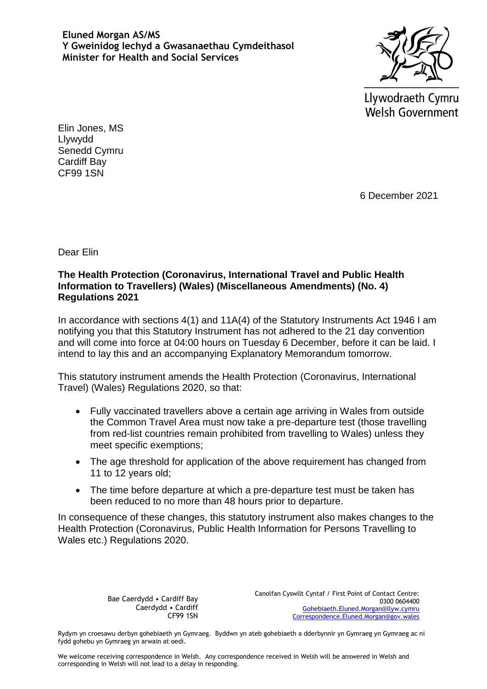**Eluned Morgan AS/MS Y Gweinidog Iechyd a Gwasanaethau Cymdeithasol Minister for Health and Social Services**



Llywodraeth Cymru **Welsh Government** 

Elin Jones, MS Llywydd Senedd Cymru Cardiff Bay CF99 1SN

6 December 2021

Dear Elin

## **The Health Protection (Coronavirus, International Travel and Public Health Information to Travellers) (Wales) (Miscellaneous Amendments) (No. 4) Regulations 2021**

In accordance with sections 4(1) and 11A(4) of the Statutory Instruments Act 1946 I am notifying you that this Statutory Instrument has not adhered to the 21 day convention and will come into force at 04:00 hours on Tuesday 6 December, before it can be laid. I intend to lay this and an accompanying Explanatory Memorandum tomorrow.

This statutory instrument amends the Health Protection (Coronavirus, International Travel) (Wales) Regulations 2020, so that:

- Fully vaccinated travellers above a certain age arriving in Wales from outside the Common Travel Area must now take a pre-departure test (those travelling from red-list countries remain prohibited from travelling to Wales) unless they meet specific exemptions;
- The age threshold for application of the above requirement has changed from 11 to 12 years old;
- The time before departure at which a pre-departure test must be taken has been reduced to no more than 48 hours prior to departure.

In consequence of these changes, this statutory instrument also makes changes to the Health Protection (Coronavirus, Public Health Information for Persons Travelling to Wales etc.) Regulations 2020.

> Bae Caerdydd • Cardiff Bay Caerdydd • Cardiff CF99 1SN

Canolfan Cyswllt Cyntaf / First Point of Contact Centre: 0300 0604400 [Gohebiaeth.Eluned.Morgan@llyw.cymru](mailto:Gohebiaeth.Eluned.Morgan@llyw.cymru) [Correspondence.Eluned.Morgan@gov.wales](mailto:Correspondence.Eluned.Morgan@gov.wales)

Rydym yn croesawu derbyn gohebiaeth yn Gymraeg. Byddwn yn ateb gohebiaeth a dderbynnir yn Gymraeg yn Gymraeg ac ni fydd gohebu yn Gymraeg yn arwain at oedi.

We welcome receiving correspondence in Welsh. Any correspondence received in Welsh will be answered in Welsh and corresponding in Welsh will not lead to a delay in responding.